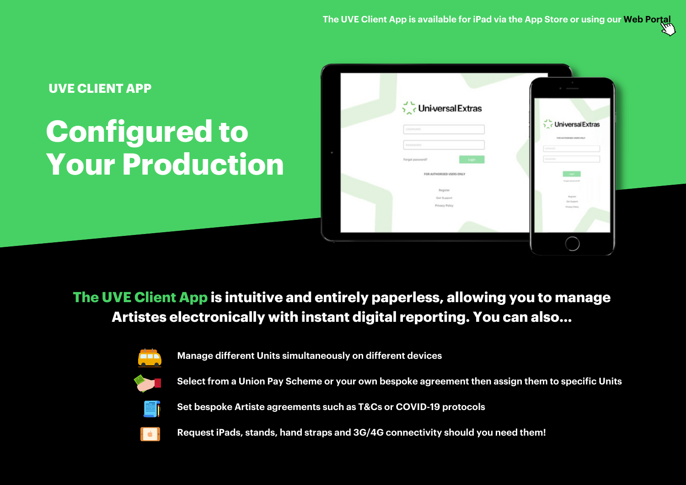# **Configured to Your Production UVE CLIENT APP**



### **The UVE Client App is intuitive and entirely paperless, allowing you to manage Artistes electronically with instant digital reporting. You can also...**



**Manage different Units simultaneously on different devices**



**Select from a Union Pay Scheme or your own bespoke agreement then assign them to specific Units**



**Set bespoke Artiste agreements such as T&Cs or COVID-19 protocols**



**Request iPads, stands, hand straps and 3G/4G connectivity should you need them!**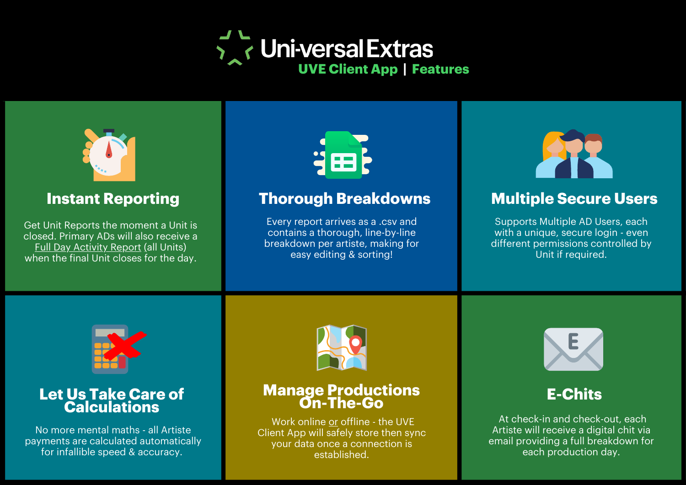



### **Instant Reporting**

Get Unit Reports the moment a Unit is closed. Primary ADs will also receive a Full Day Activity Report (all Units) when the final Unit closes for the day.



# **Thorough Breakdowns Multiple Secure Users**

Every report arrives as a .csv and contains a thorough, line-by-line breakdown per artiste, making for easy editing & sorting!



Supports Multiple AD Users, each with a unique, secure login - even different permissions controlled by Unit if required.



### **Let Us Take Care of Calculations**

No more mental maths - all Artiste payments are calculated automatically for infallible speed & accuracy.



### **Manage Productions On-The-Go**

Work online or offline - the UVE Client App will safely store then sync your data once a connection is established.



# **E-Chits**

At check-in and check-out, each Artiste will receive a digital chit via email providing a full breakdown for each production day.